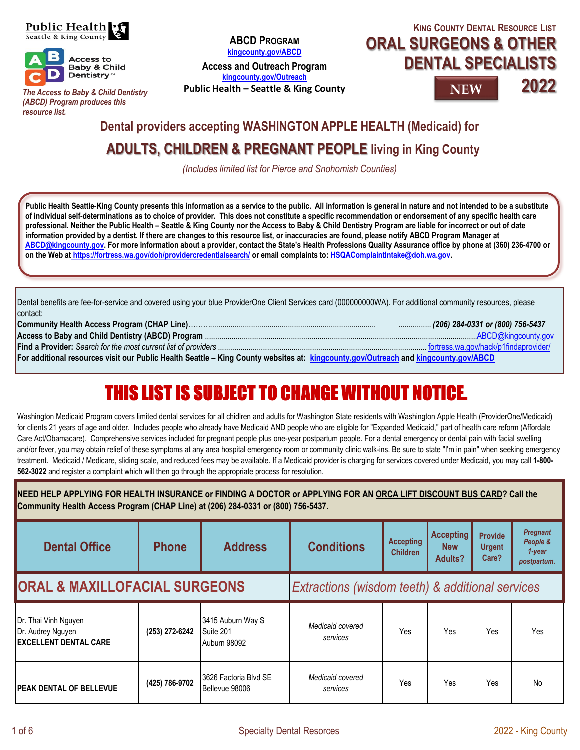



*The Access to Baby & Child Dentistry (ABCD) Program produces this resource list.*

**ABCD PROGRAM kingcounty.gov/ABCD**

**Access and Outreach Program kingcounty.gov/Outreach** 

**Public Health – Seattle & King County**

## **KING COUNTY DENTAL RESOURCE LIST ORAL SURGEONS & OTHER DENTAL SPECIALISTS**

**NEW**



## **ADULTS, CHILDREN & PREGNANT PEOPLE living in King County Dental providers accepting WASHINGTON APPLE HEALTH (Medicaid) for**

*(Includes limited list for Pierce and Snohomish Counties)*

**Public Health Seattle-King County presents this information as a service to the public. All information is general in nature and not intended to be a substitute of individual self-determinations as to choice of provider. This does not constitute a specific recommendation or endorsement of any specific health care professional. Neither the Public Health – Seattle & King County nor the Access to Baby & Child Dentistry Program are liable for incorrect or out of date information provided by a dentist. If there are changes to this resource list, or inaccuracies are found, please notify ABCD Program Manager at ABCD@kingcounty.gov. For more information about a provider, contact the State's Health Professions Quality Assurance office by phone at (360) 236-4700 or on the Web at https://fortress.wa.gov/doh/providercredentialsearch/ or email complaints to: HSQAComplaintIntake@doh.wa.gov.** 

Dental benefits are fee-for-service and covered using your blue ProviderOne Client Services card (000000000WA). For additional community resources, please contact:

|                                                                                                                                     | . (206) 284-0331 or (800) 756-5437 |
|-------------------------------------------------------------------------------------------------------------------------------------|------------------------------------|
|                                                                                                                                     |                                    |
|                                                                                                                                     |                                    |
| For additional resources visit our Public Health Seattle - King County websites at: kingcounty.gov/Outreach and kingcounty.gov/ABCD |                                    |

# **THIS LIST IS SURJECT TO CHANGE WITHOUT NOTICE.**

Washington Medicaid Program covers limited dental services for all chidlren and adults for Washington State residents with Washington Apple Health (ProviderOne/Medicaid) for clients 21 years of age and older. Includes people who already have Medicaid AND people who are eligible for "Expanded Medicaid," part of health care reform (Affordale Care Act/Obamacare). Comprehensive services included for pregnant people plus one-year postpartum people. For a dental emergency or dental pain with facial swelling and/or fever, you may obtain relief of these symptoms at any area hospital emergency room or community clinic walk-ins. Be sure to state "I'm in pain" when seeking emergency treatment. Medicaid / Medicare, sliding scale, and reduced fees may be available. If a Medicaid provider is charging for services covered under Medicaid, you may call **1-800- 562-3022** and register a complaint which will then go through the appropriate process for resolution.

| NEED HELP APPLYING FOR HEALTH INSURANCE or FINDING A DOCTOR or APPLYING FOR AN ORCA LIFT DISCOUNT BUS CARD? Call the<br>Community Health Access Program (CHAP Line) at (206) 284-0331 or (800) 756-5437. |                |                                                       |                                                  |                                     |                                           |                                          |                                                         |  |
|----------------------------------------------------------------------------------------------------------------------------------------------------------------------------------------------------------|----------------|-------------------------------------------------------|--------------------------------------------------|-------------------------------------|-------------------------------------------|------------------------------------------|---------------------------------------------------------|--|
| <b>Dental Office</b>                                                                                                                                                                                     | <b>Phone</b>   | <b>Address</b>                                        | <b>Conditions</b>                                | <b>Accepting</b><br><b>Children</b> | <b>Accepting</b><br><b>New</b><br>Adults? | <b>Provide</b><br><b>Urgent</b><br>Care? | <b>Pregnant</b><br>People &<br>$1$ -year<br>postpartum. |  |
| <b>ORAL &amp; MAXILLOFACIAL SURGEONS</b>                                                                                                                                                                 |                |                                                       | Extractions (wisdom teeth) & additional services |                                     |                                           |                                          |                                                         |  |
| Dr. Thai Vinh Nguyen<br>Dr. Audrey Nguyen<br><b>IEXCELLENT DENTAL CARE</b>                                                                                                                               | (253) 272-6242 | 3415 Auburn Way S<br>Suite 201<br><b>Auburn 98092</b> | Medicaid covered<br>services                     | Yes                                 | Yes                                       | Yes                                      | Yes                                                     |  |
| <b>IPEAK DENTAL OF BELLEVUE</b>                                                                                                                                                                          | (425) 786-9702 | 3626 Factoria Blvd SE<br>Bellevue 98006               | Medicaid covered<br>services                     | Yes                                 | Yes                                       | Yes                                      | No                                                      |  |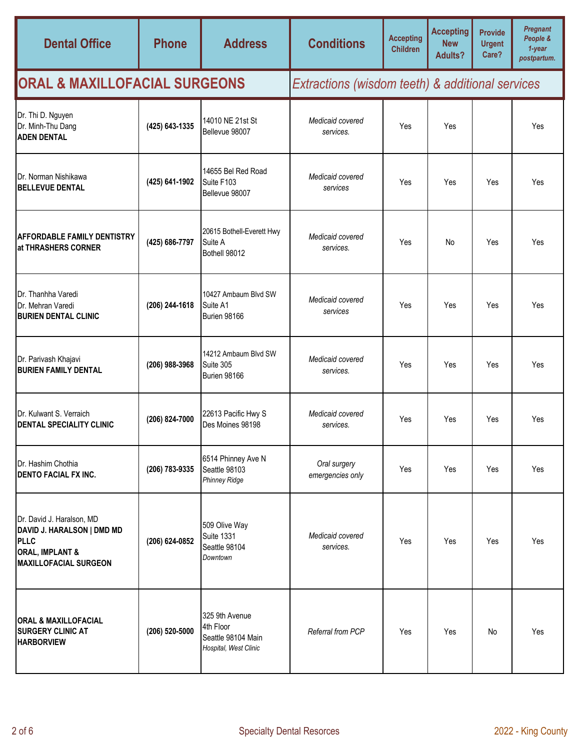| <b>Dental Office</b>                                                                                                          | <b>Phone</b>   | <b>Address</b>                                                             | <b>Conditions</b>                                | <b>Accepting</b><br><b>Children</b> | <b>Accepting</b><br><b>New</b><br><b>Adults?</b> | <b>Provide</b><br><b>Urgent</b><br>Care? | <b>Pregnant</b><br>People &<br>$1 - year$<br>postpartum. |  |
|-------------------------------------------------------------------------------------------------------------------------------|----------------|----------------------------------------------------------------------------|--------------------------------------------------|-------------------------------------|--------------------------------------------------|------------------------------------------|----------------------------------------------------------|--|
| <b>ORAL &amp; MAXILLOFACIAL SURGEONS</b>                                                                                      |                |                                                                            | Extractions (wisdom teeth) & additional services |                                     |                                                  |                                          |                                                          |  |
| Dr. Thi D. Nguyen<br>Dr. Minh-Thu Dang<br><b>ADEN DENTAL</b>                                                                  | (425) 643-1335 | 14010 NE 21st St<br>Bellevue 98007                                         | Medicaid covered<br>services.                    | Yes                                 | Yes                                              |                                          | Yes                                                      |  |
| Dr. Norman Nishikawa<br><b>BELLEVUE DENTAL</b>                                                                                | (425) 641-1902 | 14655 Bel Red Road<br>Suite F103<br>Bellevue 98007                         | Medicaid covered<br>services                     | Yes                                 | Yes                                              | Yes                                      | Yes                                                      |  |
| <b>AFFORDABLE FAMILY DENTISTRY</b><br>at THRASHERS CORNER                                                                     | (425) 686-7797 | 20615 Bothell-Everett Hwy<br>Suite A<br>Bothell 98012                      | Medicaid covered<br>services.                    | Yes                                 | No                                               | Yes                                      | Yes                                                      |  |
| Dr. Thanhha Varedi<br>Dr. Mehran Varedi<br><b>BURIEN DENTAL CLINIC</b>                                                        | (206) 244-1618 | 10427 Ambaum Blvd SW<br>Suite A1<br>Burien 98166                           | Medicaid covered<br>services                     | Yes                                 | Yes                                              | Yes                                      | Yes                                                      |  |
| Dr. Parivash Khajavi<br><b>BURIEN FAMILY DENTAL</b>                                                                           | (206) 988-3968 | 14212 Ambaum Blvd SW<br>Suite 305<br>Burien 98166                          | Medicaid covered<br>services.                    | Yes                                 | Yes                                              | Yes                                      | Yes                                                      |  |
| Dr. Kulwant S. Verraich<br><b>DENTAL SPECIALITY CLINIC</b>                                                                    | (206) 824-7000 | 22613 Pacific Hwy S<br>Des Moines 98198                                    | Medicaid covered<br>services.                    | Yes                                 | Yes                                              | Yes                                      | Yes                                                      |  |
| Dr. Hashim Chothia<br><b>DENTO FACIAL FX INC.</b>                                                                             | (206) 783-9335 | 6514 Phinney Ave N<br>Seattle 98103<br><b>Phinney Ridge</b>                | Oral surgery<br>emergencies only                 | Yes                                 | Yes                                              | Yes                                      | <b>Yes</b>                                               |  |
| Dr. David J. Haralson, MD<br>DAVID J. HARALSON   DMD MD<br>PLLC<br><b>ORAL, IMPLANT &amp;</b><br><b>MAXILLOFACIAL SURGEON</b> | (206) 624-0852 | 509 Olive Way<br><b>Suite 1331</b><br>Seattle 98104<br>Downtown            | Medicaid covered<br>services.                    | Yes                                 | Yes                                              | Yes                                      | Yes                                                      |  |
| <b>ORAL &amp; MAXILLOFACIAL</b><br><b>SURGERY CLINIC AT</b><br><b>HARBORVIEW</b>                                              | (206) 520-5000 | 325 9th Avenue<br>4th Floor<br>Seattle 98104 Main<br>Hospital, West Clinic | Referral from PCP                                | Yes                                 | Yes                                              | No                                       | Yes                                                      |  |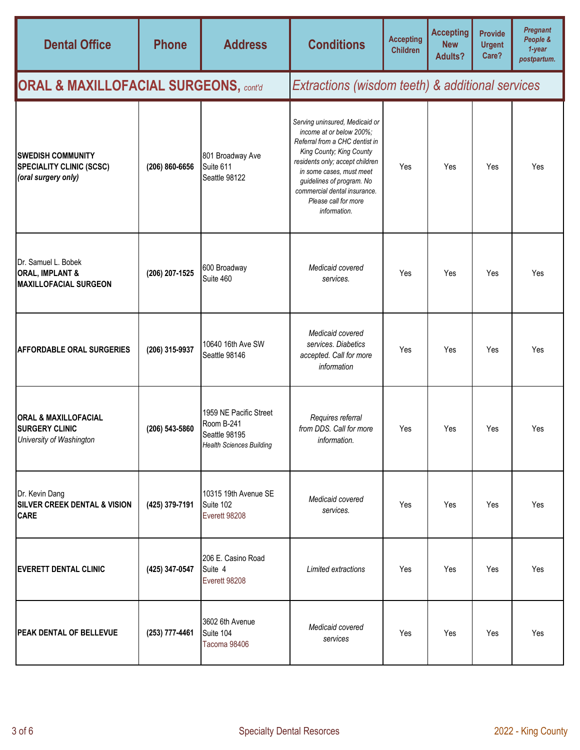| <b>Dental Office</b>                                                                 | <b>Phone</b>   | <b>Address</b>                                                                           | <b>Conditions</b>                                                                                                                                                                                                                                                                            | <b>Accepting</b><br><b>Children</b> | <b>Accepting</b><br><b>New</b><br><b>Adults?</b> | <b>Provide</b><br><b>Urgent</b><br>Care? | <b>Pregnant</b><br>People &<br>$1$ -year<br>postpartum. |  |
|--------------------------------------------------------------------------------------|----------------|------------------------------------------------------------------------------------------|----------------------------------------------------------------------------------------------------------------------------------------------------------------------------------------------------------------------------------------------------------------------------------------------|-------------------------------------|--------------------------------------------------|------------------------------------------|---------------------------------------------------------|--|
| <b>ORAL &amp; MAXILLOFACIAL SURGEONS, contal</b>                                     |                |                                                                                          | Extractions (wisdom teeth) & additional services                                                                                                                                                                                                                                             |                                     |                                                  |                                          |                                                         |  |
| <b>ISWEDISH COMMUNITY</b><br><b>SPECIALITY CLINIC (SCSC)</b><br>(oral surgery only)  | (206) 860-6656 | 801 Broadway Ave<br>Suite 611<br>Seattle 98122                                           | Serving uninsured, Medicaid or<br>income at or below 200%;<br>Referral from a CHC dentist in<br>King County; King County<br>residents only; accept children<br>in some cases, must meet<br>guidelines of program. No<br>commercial dental insurance.<br>Please call for more<br>information. | Yes                                 | Yes                                              | Yes                                      | Yes                                                     |  |
| Dr. Samuel L. Bobek<br><b>ORAL, IMPLANT &amp;</b><br><b>MAXILLOFACIAL SURGEON</b>    | (206) 207-1525 | 600 Broadway<br>Suite 460                                                                | Medicaid covered<br>services.                                                                                                                                                                                                                                                                | Yes                                 | Yes                                              | Yes                                      | Yes                                                     |  |
| <b>AFFORDABLE ORAL SURGERIES</b>                                                     | (206) 315-9937 | 10640 16th Ave SW<br>Seattle 98146                                                       | Medicaid covered<br>services. Diabetics<br>accepted. Call for more<br>information                                                                                                                                                                                                            | Yes                                 | Yes                                              | Yes                                      | Yes                                                     |  |
| <b>ORAL &amp; MAXILLOFACIAL</b><br><b>SURGERY CLINIC</b><br>University of Washington | (206) 543-5860 | 1959 NE Pacific Street<br>Room B-241<br>Seattle 98195<br><b>Health Sciences Building</b> | Requires referral<br>from DDS. Call for more<br>information.                                                                                                                                                                                                                                 | Yes                                 | Yes                                              | Yes                                      | Yes                                                     |  |
| Dr. Kevin Dang<br><b>SILVER CREEK DENTAL &amp; VISION</b><br><b>CARE</b>             | (425) 379-7191 | 10315 19th Avenue SE<br>Suite 102<br>Everett 98208                                       | Medicaid covered<br>services.                                                                                                                                                                                                                                                                | Yes                                 | Yes                                              | Yes                                      | Yes                                                     |  |
| <b>EVERETT DENTAL CLINIC</b>                                                         | (425) 347-0547 | 206 E. Casino Road<br>Suite 4<br>Everett 98208                                           | Limited extractions                                                                                                                                                                                                                                                                          | Yes                                 | Yes                                              | Yes                                      | Yes                                                     |  |
| <b>PEAK DENTAL OF BELLEVUE</b>                                                       | (253) 777-4461 | 3602 6th Avenue<br>Suite 104<br>Tacoma 98406                                             | Medicaid covered<br>services                                                                                                                                                                                                                                                                 | Yes                                 | Yes                                              | Yes                                      | Yes                                                     |  |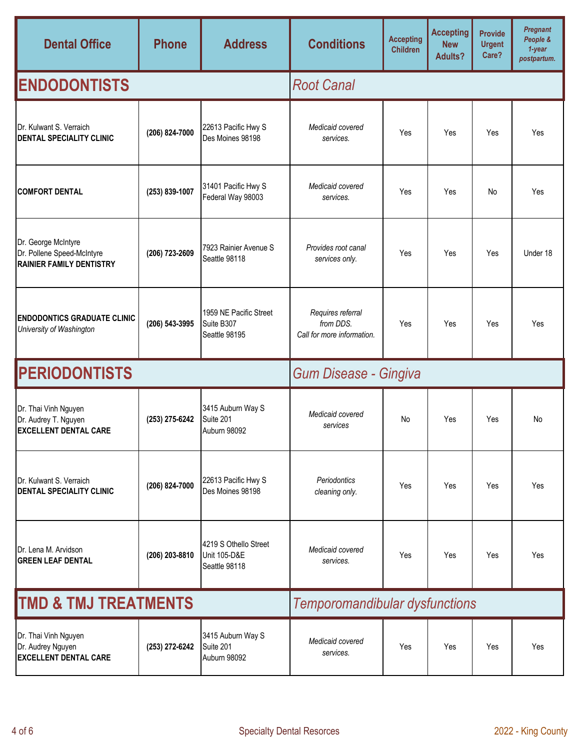| <b>Dental Office</b>                                                                 | <b>Phone</b>   | <b>Address</b>                                                    | <b>Conditions</b>                                            | <b>Accepting</b><br><b>Children</b> | <b>Accepting</b><br><b>New</b><br><b>Adults?</b> | <b>Provide</b><br><b>Urgent</b><br>Care? | <b>Pregnant</b><br>People &<br>$1 - year$<br>postpartum. |  |
|--------------------------------------------------------------------------------------|----------------|-------------------------------------------------------------------|--------------------------------------------------------------|-------------------------------------|--------------------------------------------------|------------------------------------------|----------------------------------------------------------|--|
| <b>ENDODONTISTS</b>                                                                  |                |                                                                   | <b>Root Canal</b>                                            |                                     |                                                  |                                          |                                                          |  |
| Dr. Kulwant S. Verraich<br><b>DENTAL SPECIALITY CLINIC</b>                           | (206) 824-7000 | 22613 Pacific Hwy S<br>Des Moines 98198                           | Medicaid covered<br>services.                                | Yes                                 | Yes                                              | Yes                                      | Yes                                                      |  |
| <b>COMFORT DENTAL</b>                                                                | (253) 839-1007 | 31401 Pacific Hwy S<br>Federal Way 98003                          | Medicaid covered<br>services.                                | Yes                                 | Yes                                              | No                                       | Yes                                                      |  |
| Dr. George McIntyre<br>Dr. Pollene Speed-McIntyre<br><b>RAINIER FAMILY DENTISTRY</b> | (206) 723-2609 | 7923 Rainier Avenue S<br>Seattle 98118                            | Provides root canal<br>services only.                        | Yes                                 | Yes                                              | Yes                                      | Under 18                                                 |  |
| <b>ENDODONTICS GRADUATE CLINIC</b><br>University of Washington                       | (206) 543-3995 | 1959 NE Pacific Street<br>Suite B307<br>Seattle 98195             | Requires referral<br>from DDS.<br>Call for more information. | Yes                                 | Yes                                              | Yes                                      | Yes                                                      |  |
| <b>PERIODONTISTS</b>                                                                 |                |                                                                   | <b>Gum Disease - Gingiva</b>                                 |                                     |                                                  |                                          |                                                          |  |
| Dr. Thai Vinh Nguyen<br>Dr. Audrey T. Nguyen<br><b>EXCELLENT DENTAL CARE</b>         | (253) 275-6242 | 3415 Auburn Way S<br>Suite 201<br>Auburn 98092                    | Medicaid covered<br>services                                 | No                                  | Yes                                              | Yes                                      | No                                                       |  |
| Dr. Kulwant S. Verraich<br><b>DENTAL SPECIALITY CLINIC</b>                           | (206) 824-7000 | 22613 Pacific Hwy S<br>Des Moines 98198                           | Periodontics<br>cleaning only.                               | Yes                                 | Yes                                              | Yes                                      | Yes                                                      |  |
| Dr. Lena M. Arvidson<br><b>GREEN LEAF DENTAL</b>                                     | (206) 203-8810 | 4219 S Othello Street<br><b>Unit 105-D&amp;E</b><br>Seattle 98118 | Medicaid covered<br>services.                                | Yes                                 | Yes                                              | Yes                                      | Yes                                                      |  |
| <b>TMD &amp; TMJ TREATMENTS</b>                                                      |                | Temporomandibular dysfunctions                                    |                                                              |                                     |                                                  |                                          |                                                          |  |
| Dr. Thai Vinh Nguyen<br>Dr. Audrey Nguyen<br><b>EXCELLENT DENTAL CARE</b>            | (253) 272-6242 | 3415 Auburn Way S<br>Suite 201<br>Auburn 98092                    | Medicaid covered<br>services.                                | Yes                                 | Yes                                              | Yes                                      | Yes                                                      |  |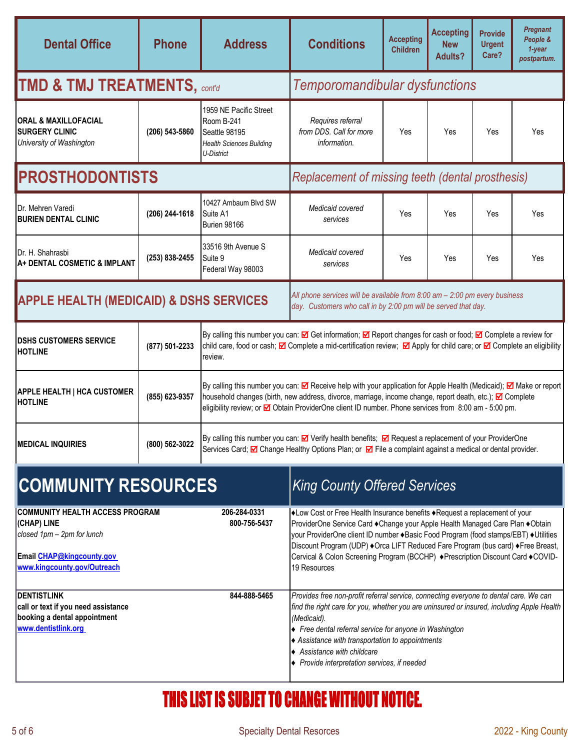| <b>Dental Office</b>                                                                                                                                                  | <b>Phone</b>   | <b>Address</b>                                                                                                                                                                                                                                                                                                                                | <b>Conditions</b>                                                                                                                                                                                                                                                                                                                                                                                                                                                                                                                    | <b>Accepting</b><br><b>Children</b> | <b>Accepting</b><br><b>New</b><br><b>Adults?</b> | <b>Provide</b><br><b>Urgent</b><br>Care? | <b>Pregnant</b><br>People &<br>$1$ -year<br>postpartum. |  |
|-----------------------------------------------------------------------------------------------------------------------------------------------------------------------|----------------|-----------------------------------------------------------------------------------------------------------------------------------------------------------------------------------------------------------------------------------------------------------------------------------------------------------------------------------------------|--------------------------------------------------------------------------------------------------------------------------------------------------------------------------------------------------------------------------------------------------------------------------------------------------------------------------------------------------------------------------------------------------------------------------------------------------------------------------------------------------------------------------------------|-------------------------------------|--------------------------------------------------|------------------------------------------|---------------------------------------------------------|--|
| TMD & TMJ TREATMENTS, $_{control}$                                                                                                                                    |                |                                                                                                                                                                                                                                                                                                                                               | Temporomandibular dysfunctions                                                                                                                                                                                                                                                                                                                                                                                                                                                                                                       |                                     |                                                  |                                          |                                                         |  |
| <b>ORAL &amp; MAXILLOFACIAL</b><br><b>SURGERY CLINIC</b><br>University of Washington                                                                                  | (206) 543-5860 | 1959 NE Pacific Street<br>Room B-241<br>Seattle 98195<br><b>Health Sciences Building</b><br>U-District                                                                                                                                                                                                                                        | Requires referral<br>from DDS. Call for more<br>information.                                                                                                                                                                                                                                                                                                                                                                                                                                                                         | Yes                                 | Yes                                              | Yes                                      | Yes                                                     |  |
| <b>PROSTHODONTISTS</b>                                                                                                                                                |                |                                                                                                                                                                                                                                                                                                                                               | Replacement of missing teeth (dental prosthesis)                                                                                                                                                                                                                                                                                                                                                                                                                                                                                     |                                     |                                                  |                                          |                                                         |  |
| Dr. Mehren Varedi<br><b>BURIEN DENTAL CLINIC</b>                                                                                                                      | (206) 244-1618 | 10427 Ambaum Blvd SW<br>Suite A1<br>Burien 98166                                                                                                                                                                                                                                                                                              | Medicaid covered<br>services                                                                                                                                                                                                                                                                                                                                                                                                                                                                                                         | Yes                                 | Yes                                              | Yes                                      | Yes                                                     |  |
| Dr. H. Shahrasbi<br>A+ DENTAL COSMETIC & IMPLANT                                                                                                                      | (253) 838-2455 | 33516 9th Avenue S<br>Suite 9<br>Federal Way 98003                                                                                                                                                                                                                                                                                            | Medicaid covered<br>services                                                                                                                                                                                                                                                                                                                                                                                                                                                                                                         | Yes                                 | Yes                                              | Yes                                      | Yes                                                     |  |
| <b>APPLE HEALTH (MEDICAID) &amp; DSHS SERVICES</b>                                                                                                                    |                | All phone services will be available from $8:00$ am $- 2:00$ pm every business<br>day. Customers who call in by 2:00 pm will be served that day.                                                                                                                                                                                              |                                                                                                                                                                                                                                                                                                                                                                                                                                                                                                                                      |                                     |                                                  |                                          |                                                         |  |
| <b>DSHS CUSTOMERS SERVICE</b><br><b>HOTLINE</b>                                                                                                                       | (877) 501-2233 | By calling this number you can: $\boxtimes$ Get information; $\boxtimes$ Report changes for cash or food; $\boxtimes$ Complete a review for<br>child care, food or cash; <b>⊠</b> Complete a mid-certification review; <b>⊠</b> Apply for child care; or <b>⊠</b> Complete an eligibility<br>review.                                          |                                                                                                                                                                                                                                                                                                                                                                                                                                                                                                                                      |                                     |                                                  |                                          |                                                         |  |
| <b>APPLE HEALTH   HCA CUSTOMER</b><br><b>HOTLINE</b>                                                                                                                  | (855) 623-9357 | By calling this number you can: Z Receive help with your application for Apple Health (Medicaid); Z Make or report<br>household changes (birth, new address, divorce, marriage, income change, report death, etc.); <b>I</b> Complete<br>eligibility review; or Ø Obtain ProviderOne client ID number. Phone services from 8:00 am - 5:00 pm. |                                                                                                                                                                                                                                                                                                                                                                                                                                                                                                                                      |                                     |                                                  |                                          |                                                         |  |
| <b>MEDICAL INQUIRIES</b>                                                                                                                                              | (800) 562-3022 |                                                                                                                                                                                                                                                                                                                                               | By calling this number you can: $\boxtimes$ Verify health benefits; $\boxtimes$ Request a replacement of your ProviderOne<br>Services Card; Ø Change Healthy Options Plan; or Ø File a complaint against a medical or dental provider.                                                                                                                                                                                                                                                                                               |                                     |                                                  |                                          |                                                         |  |
| <b>COMMUNITY RESOURCES</b>                                                                                                                                            |                |                                                                                                                                                                                                                                                                                                                                               | <b>King County Offered Services</b>                                                                                                                                                                                                                                                                                                                                                                                                                                                                                                  |                                     |                                                  |                                          |                                                         |  |
| <b>COMMUNITY HEALTH ACCESS PROGRAM</b><br>(CHAP) LINE<br>closed 1pm - 2pm for lunch<br>Email CHAP@kingcounty.gov<br>www.kingcounty.gov/Outreach<br><b>DENTISTLINK</b> |                | 206-284-0331<br>800-756-5437<br>844-888-5465                                                                                                                                                                                                                                                                                                  | +Low Cost or Free Health Insurance benefits +Request a replacement of your<br>ProviderOne Service Card ◆ Change your Apple Health Managed Care Plan ◆ Obtain<br>your ProviderOne client ID number + Basic Food Program (food stamps/EBT) + Utilities<br>Discount Program (UDP) +Orca LIFT Reduced Fare Program (bus card) +Free Breast,<br>Cervical & Colon Screening Program (BCCHP) + Prescription Discount Card + COVID-<br>19 Resources<br>Provides free non-profit referral service, connecting everyone to dental care. We can |                                     |                                                  |                                          |                                                         |  |
| call or text if you need assistance<br>booking a dental appointment<br>www.dentistlink.org                                                                            |                |                                                                                                                                                                                                                                                                                                                                               | find the right care for you, whether you are uninsured or insured, including Apple Health<br>(Medicaid).<br>◆ Free dental referral service for anyone in Washington<br>◆ Assistance with transportation to appointments<br>♦ Assistance with childcare<br>◆ Provide interpretation services, if needed                                                                                                                                                                                                                               |                                     |                                                  |                                          |                                                         |  |

# THIS LIST IS SUBJET TO CHANGE WITHOUT NOTICE.